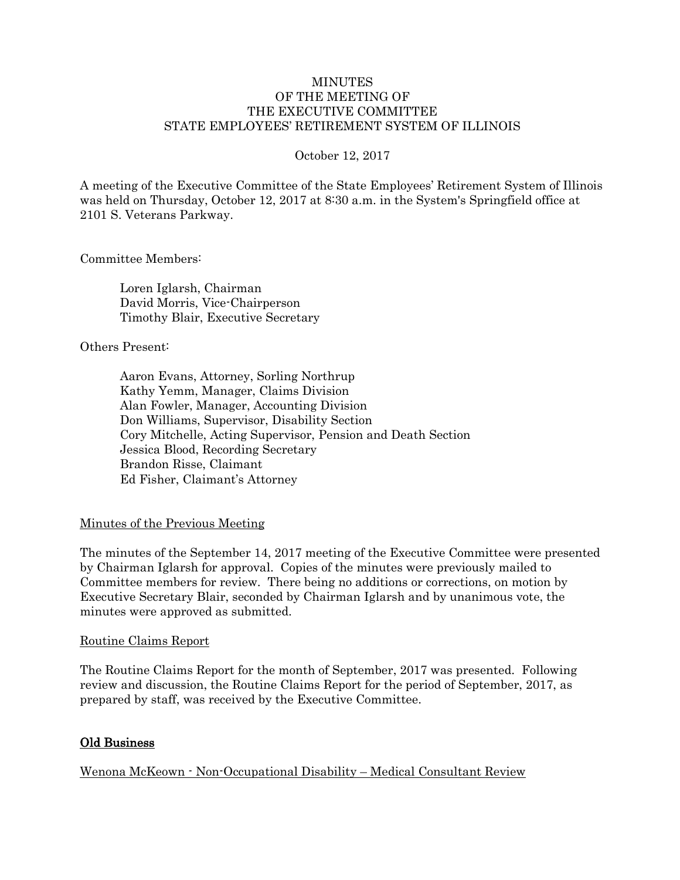#### **MINUTES** OF THE MEETING OF THE EXECUTIVE COMMITTEE STATE EMPLOYEES' RETIREMENT SYSTEM OF ILLINOIS

#### October 12, 2017

A meeting of the Executive Committee of the State Employees' Retirement System of Illinois was held on Thursday, October 12, 2017 at 8:30 a.m. in the System's Springfield office at 2101 S. Veterans Parkway.

Committee Members:

Loren Iglarsh, Chairman David Morris, Vice-Chairperson Timothy Blair, Executive Secretary

Others Present:

Aaron Evans, Attorney, Sorling Northrup Kathy Yemm, Manager, Claims Division Alan Fowler, Manager, Accounting Division Don Williams, Supervisor, Disability Section Cory Mitchelle, Acting Supervisor, Pension and Death Section Jessica Blood, Recording Secretary Brandon Risse, Claimant Ed Fisher, Claimant's Attorney

## Minutes of the Previous Meeting

The minutes of the September 14, 2017 meeting of the Executive Committee were presented by Chairman Iglarsh for approval. Copies of the minutes were previously mailed to Committee members for review. There being no additions or corrections, on motion by Executive Secretary Blair, seconded by Chairman Iglarsh and by unanimous vote, the minutes were approved as submitted.

#### Routine Claims Report

The Routine Claims Report for the month of September, 2017 was presented. Following review and discussion, the Routine Claims Report for the period of September, 2017, as prepared by staff, was received by the Executive Committee.

## Old Business

Wenona McKeown - Non-Occupational Disability – Medical Consultant Review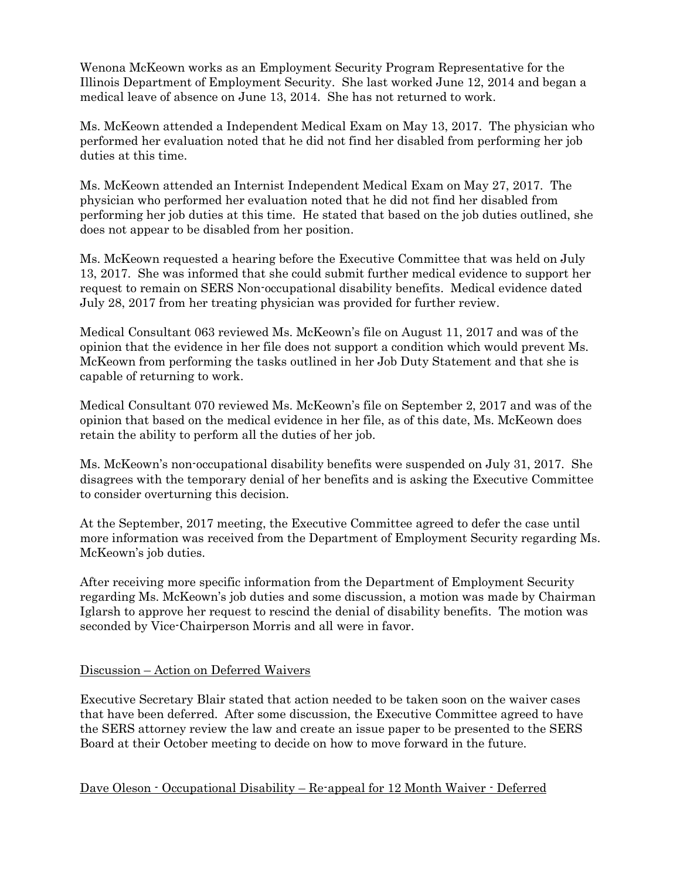Wenona McKeown works as an Employment Security Program Representative for the Illinois Department of Employment Security. She last worked June 12, 2014 and began a medical leave of absence on June 13, 2014. She has not returned to work.

Ms. McKeown attended a Independent Medical Exam on May 13, 2017. The physician who performed her evaluation noted that he did not find her disabled from performing her job duties at this time.

Ms. McKeown attended an Internist Independent Medical Exam on May 27, 2017. The physician who performed her evaluation noted that he did not find her disabled from performing her job duties at this time. He stated that based on the job duties outlined, she does not appear to be disabled from her position.

Ms. McKeown requested a hearing before the Executive Committee that was held on July 13, 2017. She was informed that she could submit further medical evidence to support her request to remain on SERS Non-occupational disability benefits. Medical evidence dated July 28, 2017 from her treating physician was provided for further review.

Medical Consultant 063 reviewed Ms. McKeown's file on August 11, 2017 and was of the opinion that the evidence in her file does not support a condition which would prevent Ms. McKeown from performing the tasks outlined in her Job Duty Statement and that she is capable of returning to work.

Medical Consultant 070 reviewed Ms. McKeown's file on September 2, 2017 and was of the opinion that based on the medical evidence in her file, as of this date, Ms. McKeown does retain the ability to perform all the duties of her job.

Ms. McKeown's non-occupational disability benefits were suspended on July 31, 2017. She disagrees with the temporary denial of her benefits and is asking the Executive Committee to consider overturning this decision.

At the September, 2017 meeting, the Executive Committee agreed to defer the case until more information was received from the Department of Employment Security regarding Ms. McKeown's job duties.

After receiving more specific information from the Department of Employment Security regarding Ms. McKeown's job duties and some discussion, a motion was made by Chairman Iglarsh to approve her request to rescind the denial of disability benefits. The motion was seconded by Vice-Chairperson Morris and all were in favor.

## Discussion – Action on Deferred Waivers

Executive Secretary Blair stated that action needed to be taken soon on the waiver cases that have been deferred. After some discussion, the Executive Committee agreed to have the SERS attorney review the law and create an issue paper to be presented to the SERS Board at their October meeting to decide on how to move forward in the future.

Dave Oleson - Occupational Disability – Re-appeal for 12 Month Waiver - Deferred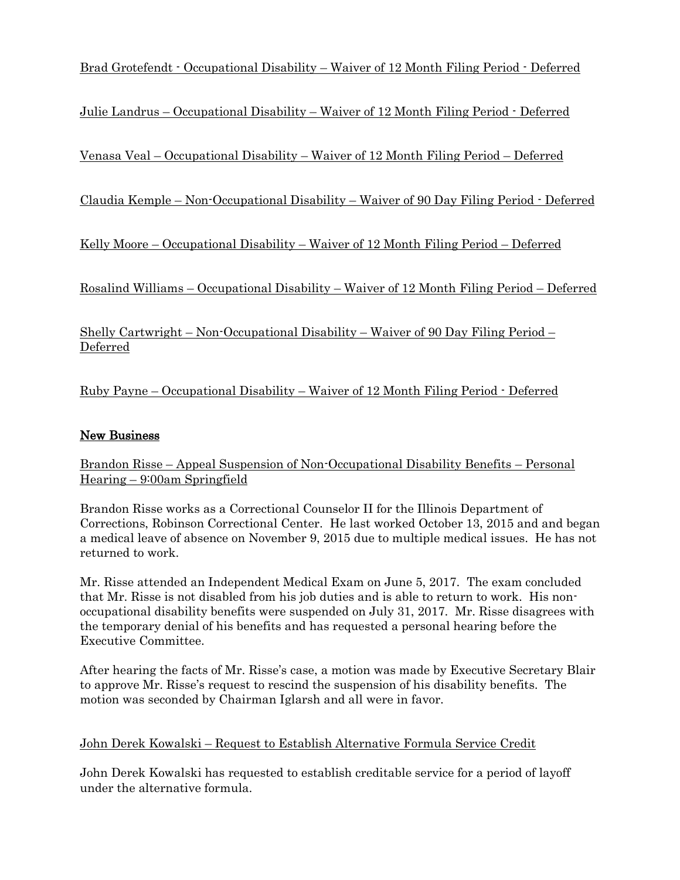Brad Grotefendt - Occupational Disability – Waiver of 12 Month Filing Period - Deferred

Julie Landrus – Occupational Disability – Waiver of 12 Month Filing Period - Deferred

Venasa Veal – Occupational Disability – Waiver of 12 Month Filing Period – Deferred

Claudia Kemple – Non-Occupational Disability – Waiver of 90 Day Filing Period - Deferred

Kelly Moore – Occupational Disability – Waiver of 12 Month Filing Period – Deferred

Rosalind Williams – Occupational Disability – Waiver of 12 Month Filing Period – Deferred

Shelly Cartwright – Non-Occupational Disability – Waiver of 90 Day Filing Period – Deferred

Ruby Payne – Occupational Disability – Waiver of 12 Month Filing Period - Deferred

# New Business

Brandon Risse – Appeal Suspension of Non-Occupational Disability Benefits – Personal Hearing – 9:00am Springfield

Brandon Risse works as a Correctional Counselor II for the Illinois Department of Corrections, Robinson Correctional Center. He last worked October 13, 2015 and and began a medical leave of absence on November 9, 2015 due to multiple medical issues. He has not returned to work.

Mr. Risse attended an Independent Medical Exam on June 5, 2017. The exam concluded that Mr. Risse is not disabled from his job duties and is able to return to work. His nonoccupational disability benefits were suspended on July 31, 2017. Mr. Risse disagrees with the temporary denial of his benefits and has requested a personal hearing before the Executive Committee.

After hearing the facts of Mr. Risse's case, a motion was made by Executive Secretary Blair to approve Mr. Risse's request to rescind the suspension of his disability benefits. The motion was seconded by Chairman Iglarsh and all were in favor.

## John Derek Kowalski – Request to Establish Alternative Formula Service Credit

John Derek Kowalski has requested to establish creditable service for a period of layoff under the alternative formula.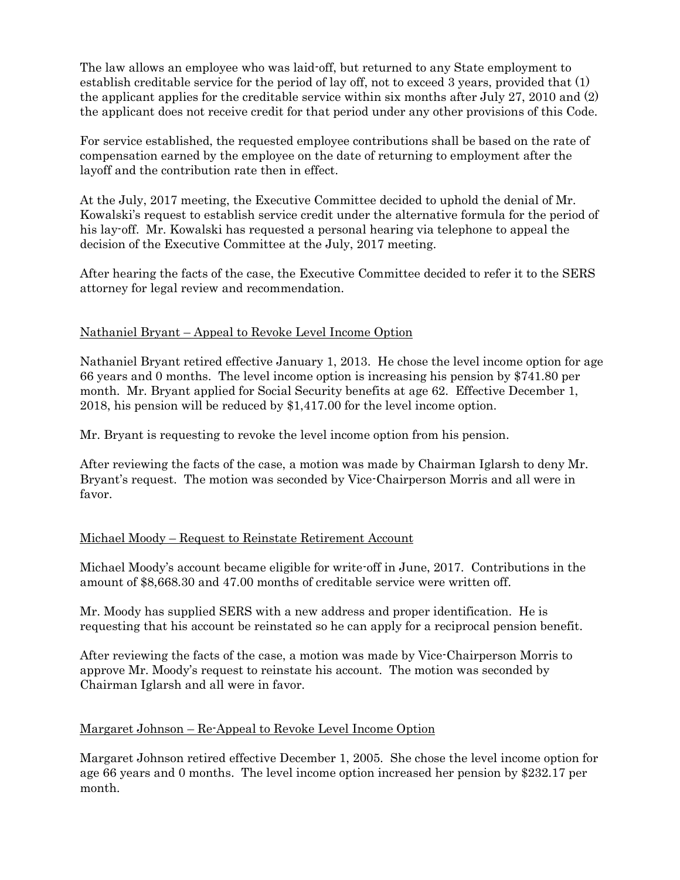The law allows an employee who was laid-off, but returned to any State employment to establish creditable service for the period of lay off, not to exceed 3 years, provided that (1) the applicant applies for the creditable service within six months after July 27, 2010 and (2) the applicant does not receive credit for that period under any other provisions of this Code.

For service established, the requested employee contributions shall be based on the rate of compensation earned by the employee on the date of returning to employment after the layoff and the contribution rate then in effect.

At the July, 2017 meeting, the Executive Committee decided to uphold the denial of Mr. Kowalski's request to establish service credit under the alternative formula for the period of his lay-off. Mr. Kowalski has requested a personal hearing via telephone to appeal the decision of the Executive Committee at the July, 2017 meeting.

After hearing the facts of the case, the Executive Committee decided to refer it to the SERS attorney for legal review and recommendation.

## Nathaniel Bryant – Appeal to Revoke Level Income Option

Nathaniel Bryant retired effective January 1, 2013. He chose the level income option for age 66 years and 0 months. The level income option is increasing his pension by \$741.80 per month. Mr. Bryant applied for Social Security benefits at age 62. Effective December 1, 2018, his pension will be reduced by \$1,417.00 for the level income option.

Mr. Bryant is requesting to revoke the level income option from his pension.

After reviewing the facts of the case, a motion was made by Chairman Iglarsh to deny Mr. Bryant's request. The motion was seconded by Vice-Chairperson Morris and all were in favor.

## Michael Moody – Request to Reinstate Retirement Account

Michael Moody's account became eligible for write-off in June, 2017. Contributions in the amount of \$8,668.30 and 47.00 months of creditable service were written off.

Mr. Moody has supplied SERS with a new address and proper identification. He is requesting that his account be reinstated so he can apply for a reciprocal pension benefit.

After reviewing the facts of the case, a motion was made by Vice-Chairperson Morris to approve Mr. Moody's request to reinstate his account. The motion was seconded by Chairman Iglarsh and all were in favor.

## Margaret Johnson – Re-Appeal to Revoke Level Income Option

Margaret Johnson retired effective December 1, 2005. She chose the level income option for age 66 years and 0 months. The level income option increased her pension by \$232.17 per month.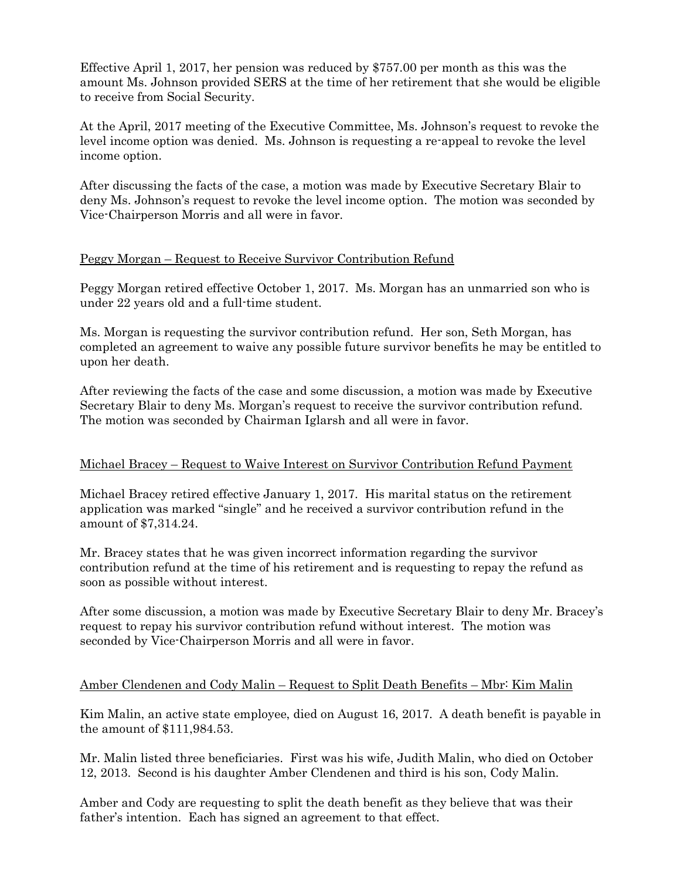Effective April 1, 2017, her pension was reduced by \$757.00 per month as this was the amount Ms. Johnson provided SERS at the time of her retirement that she would be eligible to receive from Social Security.

At the April, 2017 meeting of the Executive Committee, Ms. Johnson's request to revoke the level income option was denied. Ms. Johnson is requesting a re-appeal to revoke the level income option.

After discussing the facts of the case, a motion was made by Executive Secretary Blair to deny Ms. Johnson's request to revoke the level income option. The motion was seconded by Vice-Chairperson Morris and all were in favor.

## Peggy Morgan – Request to Receive Survivor Contribution Refund

Peggy Morgan retired effective October 1, 2017. Ms. Morgan has an unmarried son who is under 22 years old and a full-time student.

Ms. Morgan is requesting the survivor contribution refund. Her son, Seth Morgan, has completed an agreement to waive any possible future survivor benefits he may be entitled to upon her death.

After reviewing the facts of the case and some discussion, a motion was made by Executive Secretary Blair to deny Ms. Morgan's request to receive the survivor contribution refund. The motion was seconded by Chairman Iglarsh and all were in favor.

## Michael Bracey – Request to Waive Interest on Survivor Contribution Refund Payment

Michael Bracey retired effective January 1, 2017. His marital status on the retirement application was marked "single" and he received a survivor contribution refund in the amount of \$7,314.24.

Mr. Bracey states that he was given incorrect information regarding the survivor contribution refund at the time of his retirement and is requesting to repay the refund as soon as possible without interest.

After some discussion, a motion was made by Executive Secretary Blair to deny Mr. Bracey's request to repay his survivor contribution refund without interest. The motion was seconded by Vice-Chairperson Morris and all were in favor.

## Amber Clendenen and Cody Malin – Request to Split Death Benefits – Mbr: Kim Malin

Kim Malin, an active state employee, died on August 16, 2017. A death benefit is payable in the amount of \$111,984.53.

Mr. Malin listed three beneficiaries. First was his wife, Judith Malin, who died on October 12, 2013. Second is his daughter Amber Clendenen and third is his son, Cody Malin.

Amber and Cody are requesting to split the death benefit as they believe that was their father's intention. Each has signed an agreement to that effect.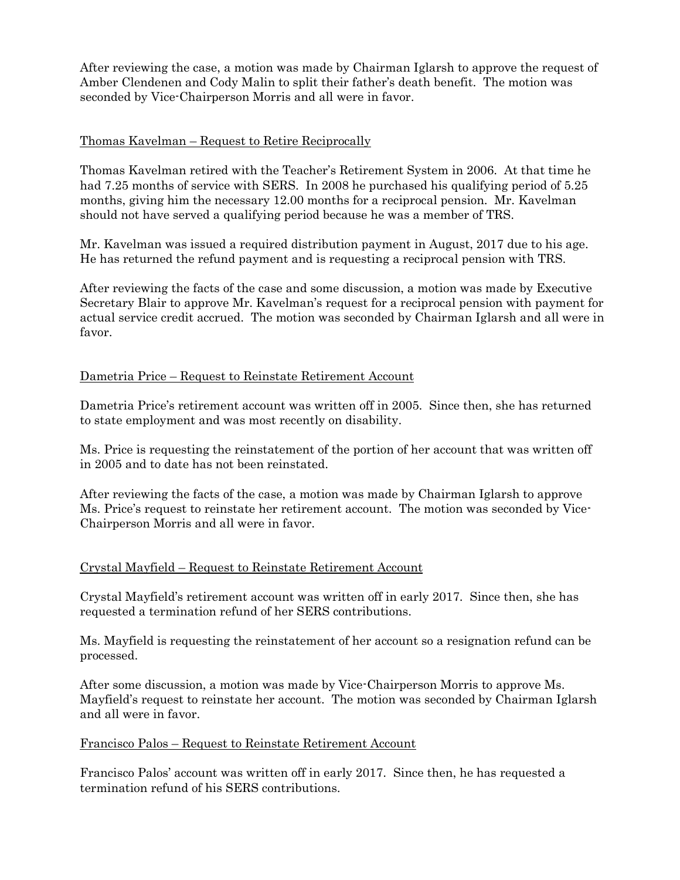After reviewing the case, a motion was made by Chairman Iglarsh to approve the request of Amber Clendenen and Cody Malin to split their father's death benefit. The motion was seconded by Vice-Chairperson Morris and all were in favor.

#### Thomas Kavelman – Request to Retire Reciprocally

Thomas Kavelman retired with the Teacher's Retirement System in 2006. At that time he had 7.25 months of service with SERS. In 2008 he purchased his qualifying period of 5.25 months, giving him the necessary 12.00 months for a reciprocal pension. Mr. Kavelman should not have served a qualifying period because he was a member of TRS.

Mr. Kavelman was issued a required distribution payment in August, 2017 due to his age. He has returned the refund payment and is requesting a reciprocal pension with TRS.

After reviewing the facts of the case and some discussion, a motion was made by Executive Secretary Blair to approve Mr. Kavelman's request for a reciprocal pension with payment for actual service credit accrued. The motion was seconded by Chairman Iglarsh and all were in favor.

#### Dametria Price – Request to Reinstate Retirement Account

Dametria Price's retirement account was written off in 2005. Since then, she has returned to state employment and was most recently on disability.

Ms. Price is requesting the reinstatement of the portion of her account that was written off in 2005 and to date has not been reinstated.

After reviewing the facts of the case, a motion was made by Chairman Iglarsh to approve Ms. Price's request to reinstate her retirement account. The motion was seconded by Vice-Chairperson Morris and all were in favor.

## Crystal Mayfield – Request to Reinstate Retirement Account

Crystal Mayfield's retirement account was written off in early 2017. Since then, she has requested a termination refund of her SERS contributions.

Ms. Mayfield is requesting the reinstatement of her account so a resignation refund can be processed.

After some discussion, a motion was made by Vice-Chairperson Morris to approve Ms. Mayfield's request to reinstate her account. The motion was seconded by Chairman Iglarsh and all were in favor.

#### Francisco Palos – Request to Reinstate Retirement Account

Francisco Palos' account was written off in early 2017. Since then, he has requested a termination refund of his SERS contributions.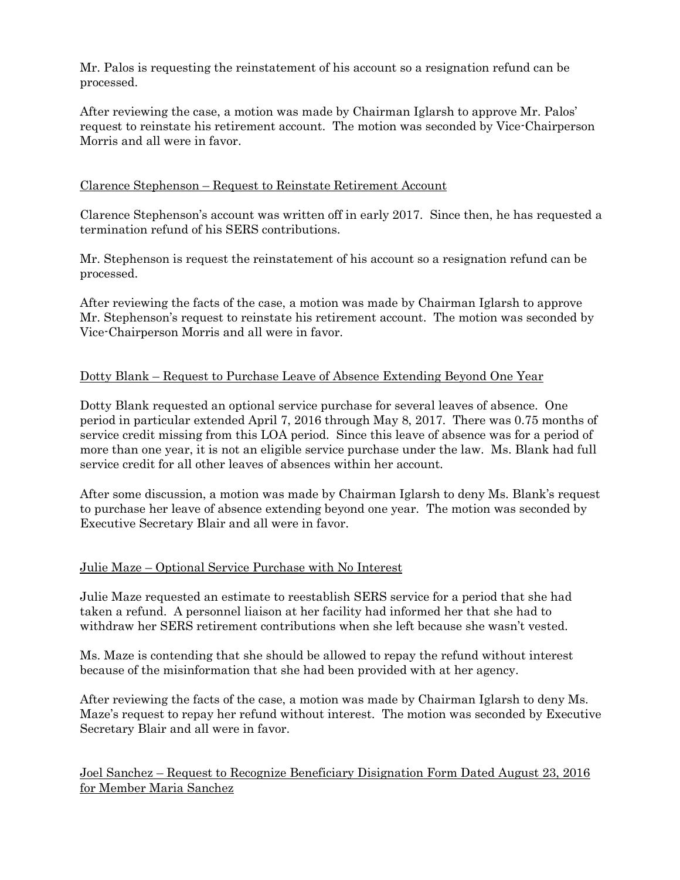Mr. Palos is requesting the reinstatement of his account so a resignation refund can be processed.

After reviewing the case, a motion was made by Chairman Iglarsh to approve Mr. Palos' request to reinstate his retirement account. The motion was seconded by Vice-Chairperson Morris and all were in favor.

## Clarence Stephenson – Request to Reinstate Retirement Account

Clarence Stephenson's account was written off in early 2017. Since then, he has requested a termination refund of his SERS contributions.

Mr. Stephenson is request the reinstatement of his account so a resignation refund can be processed.

After reviewing the facts of the case, a motion was made by Chairman Iglarsh to approve Mr. Stephenson's request to reinstate his retirement account. The motion was seconded by Vice-Chairperson Morris and all were in favor.

## Dotty Blank – Request to Purchase Leave of Absence Extending Beyond One Year

Dotty Blank requested an optional service purchase for several leaves of absence. One period in particular extended April 7, 2016 through May 8, 2017. There was 0.75 months of service credit missing from this LOA period. Since this leave of absence was for a period of more than one year, it is not an eligible service purchase under the law. Ms. Blank had full service credit for all other leaves of absences within her account.

After some discussion, a motion was made by Chairman Iglarsh to deny Ms. Blank's request to purchase her leave of absence extending beyond one year. The motion was seconded by Executive Secretary Blair and all were in favor.

## Julie Maze – Optional Service Purchase with No Interest

Julie Maze requested an estimate to reestablish SERS service for a period that she had taken a refund. A personnel liaison at her facility had informed her that she had to withdraw her SERS retirement contributions when she left because she wasn't vested.

Ms. Maze is contending that she should be allowed to repay the refund without interest because of the misinformation that she had been provided with at her agency.

After reviewing the facts of the case, a motion was made by Chairman Iglarsh to deny Ms. Maze's request to repay her refund without interest. The motion was seconded by Executive Secretary Blair and all were in favor.

Joel Sanchez – Request to Recognize Beneficiary Disignation Form Dated August 23, 2016 for Member Maria Sanchez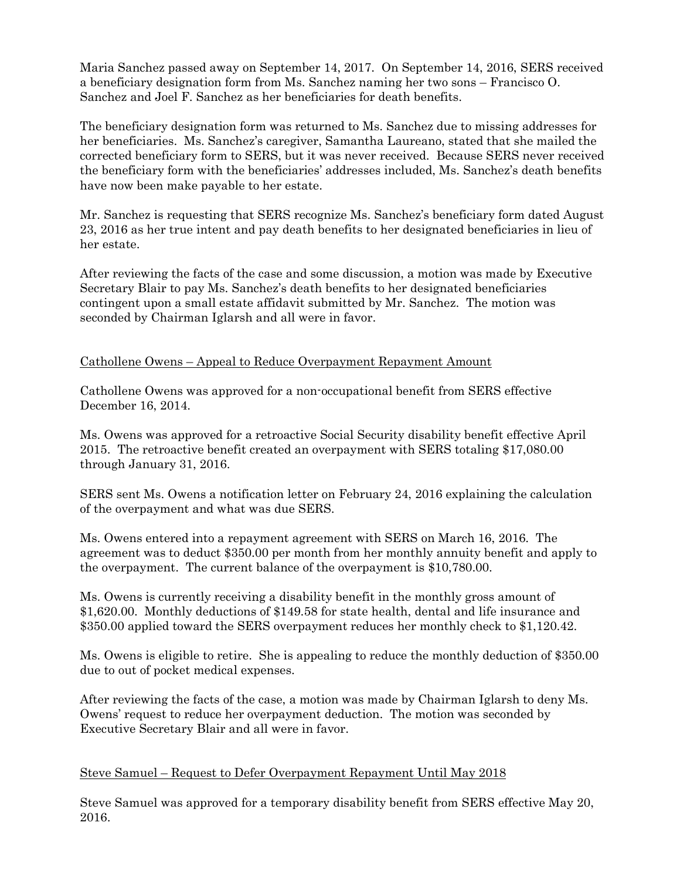Maria Sanchez passed away on September 14, 2017. On September 14, 2016, SERS received a beneficiary designation form from Ms. Sanchez naming her two sons – Francisco O. Sanchez and Joel F. Sanchez as her beneficiaries for death benefits.

The beneficiary designation form was returned to Ms. Sanchez due to missing addresses for her beneficiaries. Ms. Sanchez's caregiver, Samantha Laureano, stated that she mailed the corrected beneficiary form to SERS, but it was never received. Because SERS never received the beneficiary form with the beneficiaries' addresses included, Ms. Sanchez's death benefits have now been make payable to her estate.

Mr. Sanchez is requesting that SERS recognize Ms. Sanchez's beneficiary form dated August 23, 2016 as her true intent and pay death benefits to her designated beneficiaries in lieu of her estate.

After reviewing the facts of the case and some discussion, a motion was made by Executive Secretary Blair to pay Ms. Sanchez's death benefits to her designated beneficiaries contingent upon a small estate affidavit submitted by Mr. Sanchez. The motion was seconded by Chairman Iglarsh and all were in favor.

## Cathollene Owens – Appeal to Reduce Overpayment Repayment Amount

Cathollene Owens was approved for a non-occupational benefit from SERS effective December 16, 2014.

Ms. Owens was approved for a retroactive Social Security disability benefit effective April 2015. The retroactive benefit created an overpayment with SERS totaling \$17,080.00 through January 31, 2016.

SERS sent Ms. Owens a notification letter on February 24, 2016 explaining the calculation of the overpayment and what was due SERS.

Ms. Owens entered into a repayment agreement with SERS on March 16, 2016. The agreement was to deduct \$350.00 per month from her monthly annuity benefit and apply to the overpayment. The current balance of the overpayment is \$10,780.00.

Ms. Owens is currently receiving a disability benefit in the monthly gross amount of \$1,620.00. Monthly deductions of \$149.58 for state health, dental and life insurance and \$350.00 applied toward the SERS overpayment reduces her monthly check to \$1,120.42.

Ms. Owens is eligible to retire. She is appealing to reduce the monthly deduction of \$350.00 due to out of pocket medical expenses.

After reviewing the facts of the case, a motion was made by Chairman Iglarsh to deny Ms. Owens' request to reduce her overpayment deduction. The motion was seconded by Executive Secretary Blair and all were in favor.

## Steve Samuel – Request to Defer Overpayment Repayment Until May 2018

Steve Samuel was approved for a temporary disability benefit from SERS effective May 20, 2016.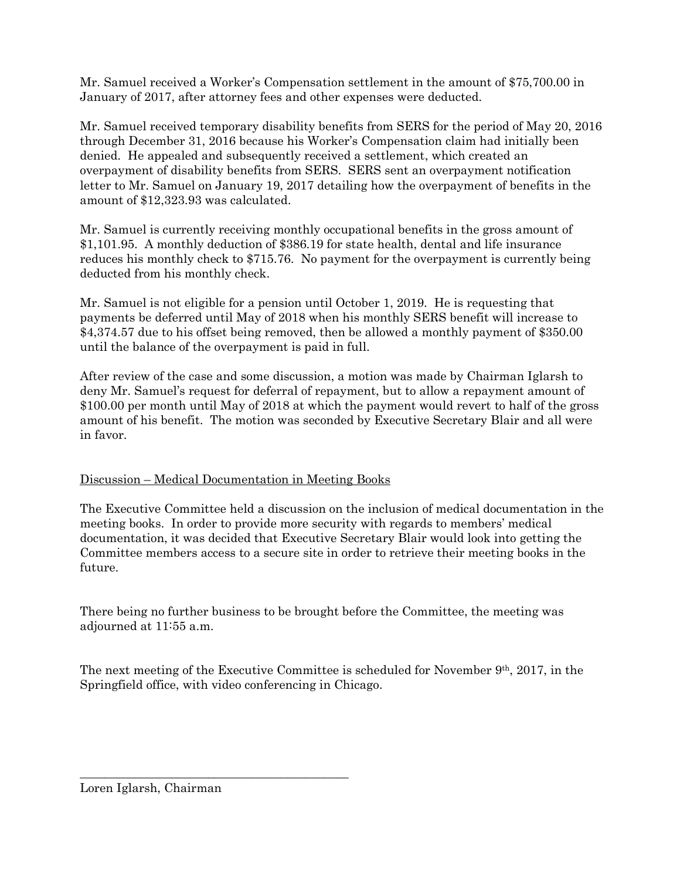Mr. Samuel received a Worker's Compensation settlement in the amount of \$75,700.00 in January of 2017, after attorney fees and other expenses were deducted.

Mr. Samuel received temporary disability benefits from SERS for the period of May 20, 2016 through December 31, 2016 because his Worker's Compensation claim had initially been denied. He appealed and subsequently received a settlement, which created an overpayment of disability benefits from SERS. SERS sent an overpayment notification letter to Mr. Samuel on January 19, 2017 detailing how the overpayment of benefits in the amount of \$12,323.93 was calculated.

Mr. Samuel is currently receiving monthly occupational benefits in the gross amount of \$1,101.95. A monthly deduction of \$386.19 for state health, dental and life insurance reduces his monthly check to \$715.76. No payment for the overpayment is currently being deducted from his monthly check.

Mr. Samuel is not eligible for a pension until October 1, 2019. He is requesting that payments be deferred until May of 2018 when his monthly SERS benefit will increase to \$4,374.57 due to his offset being removed, then be allowed a monthly payment of \$350.00 until the balance of the overpayment is paid in full.

After review of the case and some discussion, a motion was made by Chairman Iglarsh to deny Mr. Samuel's request for deferral of repayment, but to allow a repayment amount of \$100.00 per month until May of 2018 at which the payment would revert to half of the gross amount of his benefit. The motion was seconded by Executive Secretary Blair and all were in favor.

## Discussion – Medical Documentation in Meeting Books

The Executive Committee held a discussion on the inclusion of medical documentation in the meeting books. In order to provide more security with regards to members' medical documentation, it was decided that Executive Secretary Blair would look into getting the Committee members access to a secure site in order to retrieve their meeting books in the future.

There being no further business to be brought before the Committee, the meeting was adjourned at 11:55 a.m.

The next meeting of the Executive Committee is scheduled for November  $9<sup>th</sup>$ , 2017, in the Springfield office, with video conferencing in Chicago.

\_\_\_\_\_\_\_\_\_\_\_\_\_\_\_\_\_\_\_\_\_\_\_\_\_\_\_\_\_\_\_\_\_\_\_\_\_\_\_\_\_\_\_\_